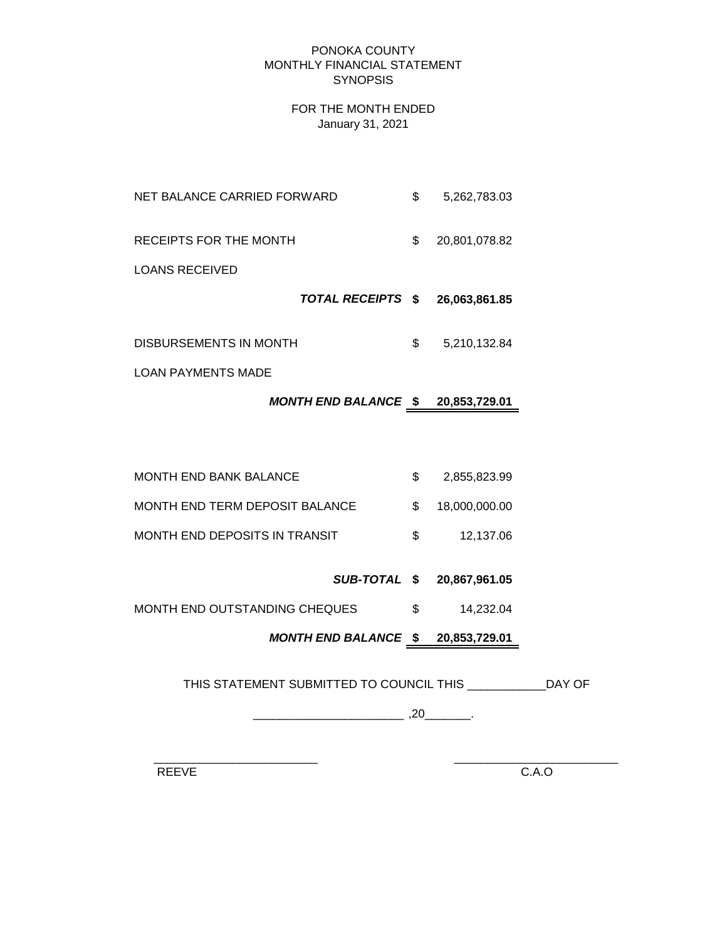#### PONOKA COUNTY MONTHLY FINANCIAL STATEMENT **SYNOPSIS**

### FOR THE MONTH ENDED January 31, 2021

- NET BALANCE CARRIED FORWARD  $$5,262,783.03$ RECEIPTS FOR THE MONTH  $$20,801,078.82$ LOANS RECEIVED
	- *TOTAL RECEIPTS* **\$ 26,063,861.85**
- DISBURSEMENTS IN MONTH  $$5,210,132.84$

LOAN PAYMENTS MADE

# *MONTH END BALANCE* **\$ 20,853,729.01**

MONTH END BANK BALANCE  $$2,855,823.99$ MONTH END TERM DEPOSIT BALANCE  $$ 18,000,000.00$ MONTH END DEPOSITS IN TRANSIT  $$37.06$ 

*SUB-TOTAL* **\$ 20,867,961.05**

MONTH END OUTSTANDING CHEQUES  $$$  14,232.04

*MONTH END BALANCE* **\$ 20,853,729.01**

THIS STATEMENT SUBMITTED TO COUNCIL THIS \_\_\_\_\_\_\_\_\_\_\_\_DAY OF

\_\_\_\_\_\_\_\_\_\_\_\_\_\_\_\_\_\_\_\_\_\_\_ ,20\_\_\_\_\_\_\_.

 $\frac{1}{2}$  ,  $\frac{1}{2}$  ,  $\frac{1}{2}$  ,  $\frac{1}{2}$  ,  $\frac{1}{2}$  ,  $\frac{1}{2}$  ,  $\frac{1}{2}$  ,  $\frac{1}{2}$  ,  $\frac{1}{2}$  ,  $\frac{1}{2}$  ,  $\frac{1}{2}$  ,  $\frac{1}{2}$  ,  $\frac{1}{2}$  ,  $\frac{1}{2}$  ,  $\frac{1}{2}$  ,  $\frac{1}{2}$  ,  $\frac{1}{2}$  ,  $\frac{1}{2}$  ,  $\frac{1$ 

REEVE C.A.O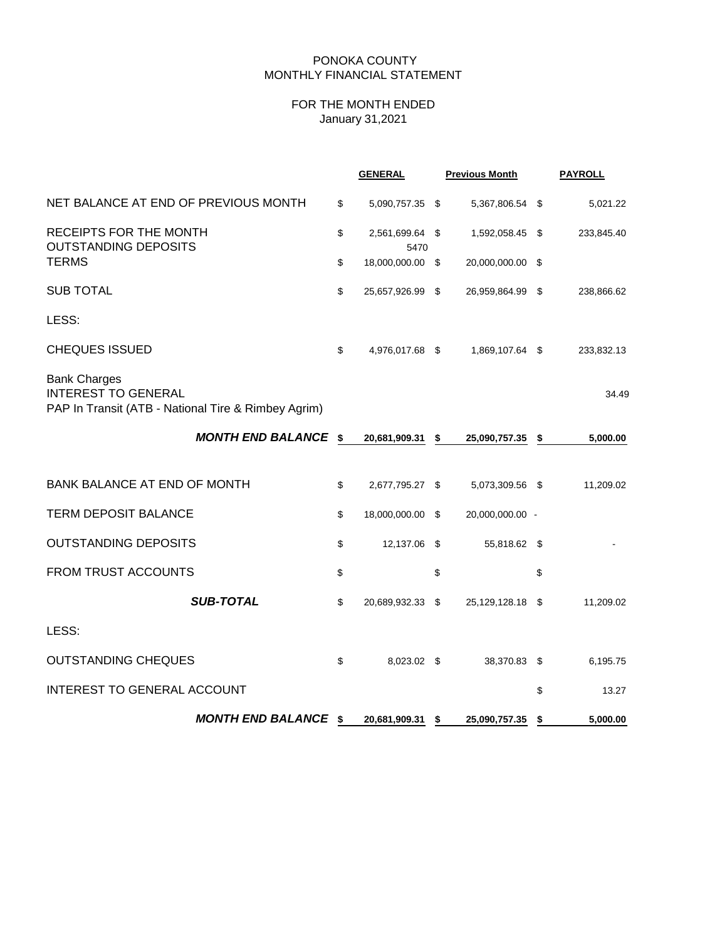## PONOKA COUNTY MONTHLY FINANCIAL STATEMENT

# FOR THE MONTH ENDED January 31,2021

|                                                                                                          | <b>GENERAL</b>                | <b>Previous Month</b> | <b>PAYROLL</b> |
|----------------------------------------------------------------------------------------------------------|-------------------------------|-----------------------|----------------|
| NET BALANCE AT END OF PREVIOUS MONTH                                                                     | \$<br>5,090,757.35 \$         | 5,367,806.54 \$       | 5,021.22       |
| RECEIPTS FOR THE MONTH<br><b>OUTSTANDING DEPOSITS</b>                                                    | \$<br>2,561,699.64 \$<br>5470 | 1,592,058.45 \$       | 233,845.40     |
| <b>TERMS</b>                                                                                             | \$<br>18,000,000.00 \$        | 20,000,000.00 \$      |                |
| <b>SUB TOTAL</b>                                                                                         | \$<br>25,657,926.99 \$        | 26,959,864.99 \$      | 238,866.62     |
| LESS:                                                                                                    |                               |                       |                |
| <b>CHEQUES ISSUED</b>                                                                                    | \$<br>4,976,017.68 \$         | 1,869,107.64 \$       | 233,832.13     |
| <b>Bank Charges</b><br><b>INTEREST TO GENERAL</b><br>PAP In Transit (ATB - National Tire & Rimbey Agrim) |                               |                       | 34.49          |
| <b>MONTH END BALANCE \$</b>                                                                              | 20,681,909.31 \$              | 25,090,757.35 \$      | 5,000.00       |
| <b>BANK BALANCE AT END OF MONTH</b>                                                                      | \$<br>2,677,795.27 \$         | 5,073,309.56 \$       | 11,209.02      |
| <b>TERM DEPOSIT BALANCE</b>                                                                              | \$<br>18,000,000.00 \$        | 20,000,000.00 -       |                |
| <b>OUTSTANDING DEPOSITS</b>                                                                              | \$<br>12,137.06 \$            | 55,818.62 \$          |                |
| FROM TRUST ACCOUNTS                                                                                      | \$                            | \$                    | \$             |
| <b>SUB-TOTAL</b>                                                                                         | \$<br>20,689,932.33 \$        | 25,129,128.18 \$      | 11,209.02      |
| LESS:                                                                                                    |                               |                       |                |
| <b>OUTSTANDING CHEQUES</b>                                                                               | \$<br>8,023.02 \$             | 38,370.83 \$          | 6,195.75       |
| INTEREST TO GENERAL ACCOUNT                                                                              |                               |                       | \$<br>13.27    |
| <b>MONTH END BALANCE \$</b>                                                                              | 20,681,909.31 \$              | 25,090,757.35 \$      | 5,000.00       |